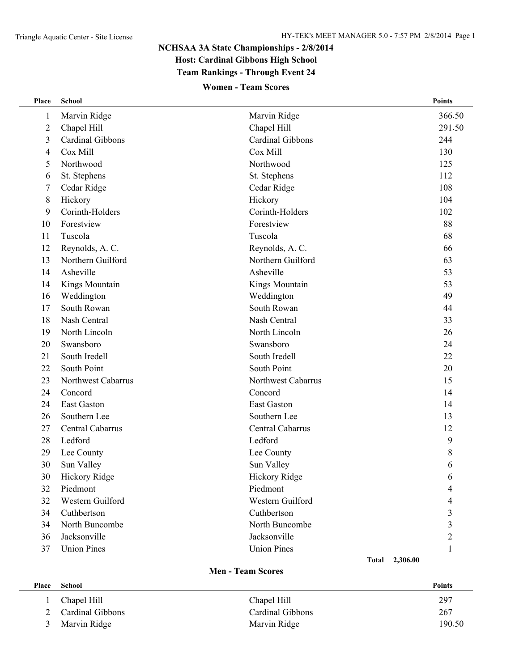## **NCHSAA 3A State Championships - 2/8/2014 Host: Cardinal Gibbons High School Team Rankings - Through Event 24**

## **Women - Team Scores**

| Place                    | <b>School</b>      |                    | <b>Points</b>            |  |
|--------------------------|--------------------|--------------------|--------------------------|--|
| 1                        | Marvin Ridge       | Marvin Ridge       | 366.50                   |  |
| $\overline{2}$           | Chapel Hill        | Chapel Hill        | 291.50                   |  |
| 3                        | Cardinal Gibbons   | Cardinal Gibbons   | 244                      |  |
| 4                        | Cox Mill           | Cox Mill           | 130                      |  |
| 5                        | Northwood          | Northwood          | 125                      |  |
| 6                        | St. Stephens       | St. Stephens       | 112                      |  |
| 7                        | Cedar Ridge        | Cedar Ridge        | 108                      |  |
| 8                        | Hickory            | Hickory            | 104                      |  |
| 9                        | Corinth-Holders    | Corinth-Holders    | 102                      |  |
| 10                       | Forestview         | Forestview         | 88                       |  |
| 11                       | Tuscola            | Tuscola            | 68                       |  |
| 12                       | Reynolds, A. C.    | Reynolds, A. C.    | 66                       |  |
| 13                       | Northern Guilford  | Northern Guilford  | 63                       |  |
| 14                       | Asheville          | Asheville          | 53                       |  |
| 14                       | Kings Mountain     | Kings Mountain     | 53                       |  |
| 16                       | Weddington         | Weddington         | 49                       |  |
| 17                       | South Rowan        | South Rowan        | 44                       |  |
| 18                       | Nash Central       | Nash Central       | 33                       |  |
| 19                       | North Lincoln      | North Lincoln      | 26                       |  |
| 20                       | Swansboro          | Swansboro          | 24                       |  |
| 21                       | South Iredell      | South Iredell      | 22                       |  |
| 22                       | South Point        | South Point        | 20                       |  |
| 23                       | Northwest Cabarrus | Northwest Cabarrus | 15                       |  |
| 24                       | Concord            | Concord            | 14                       |  |
| 24                       | <b>East Gaston</b> | <b>East Gaston</b> | 14                       |  |
| 26                       | Southern Lee       | Southern Lee       | 13                       |  |
| 27                       | Central Cabarrus   | Central Cabarrus   | 12                       |  |
| 28                       | Ledford            | Ledford            | 9                        |  |
| 29                       | Lee County         | Lee County         | 8                        |  |
| 30                       | Sun Valley         | Sun Valley         | 6                        |  |
| 30                       | Hickory Ridge      | Hickory Ridge      | 6                        |  |
| 32                       | Piedmont           | Piedmont           | 4                        |  |
| 32                       | Western Guilford   | Western Guilford   | 4                        |  |
| 34                       | Cuthbertson        | Cuthbertson        | 3                        |  |
| 34                       | North Buncombe     | North Buncombe     | 3                        |  |
| 36                       | Jacksonville       | Jacksonville       | $\overline{2}$           |  |
| 37                       | <b>Union Pines</b> | <b>Union Pines</b> | 1                        |  |
|                          |                    |                    | 2,306.00<br><b>Total</b> |  |
| <b>Men - Team Scores</b> |                    |                    |                          |  |
| Place                    | <b>School</b>      |                    | <b>Points</b>            |  |
| $\mathbf{1}$             | Chapel Hill        | Chapel Hill        | 297                      |  |

 Cardinal Gibbons Cardinal Gibbons 267 3 Marvin Ridge 190.50